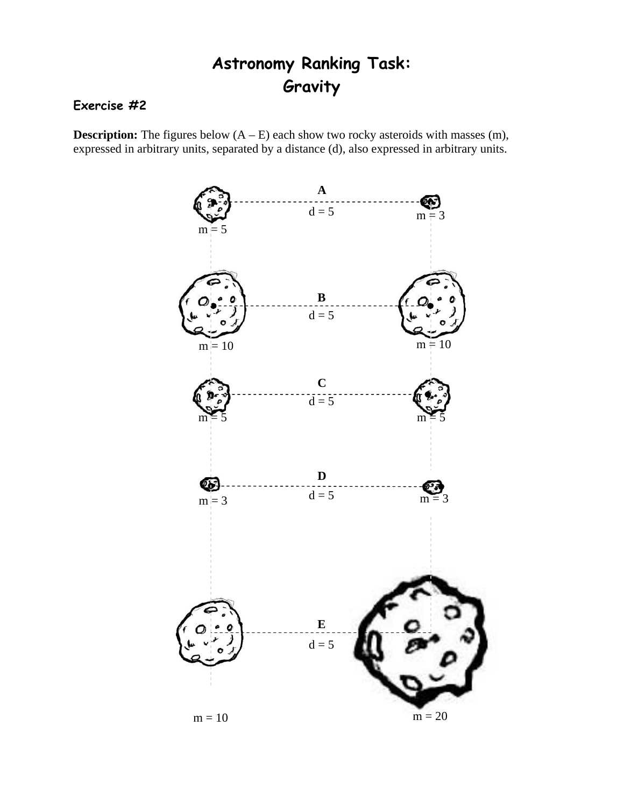## **Astronomy Ranking Task: Gravity**

## **Exercise #2**

**Description:** The figures below  $(A - E)$  each show two rocky asteroids with masses  $(m)$ , expressed in arbitrary units, separated by a distance (d), also expressed in arbitrary units.